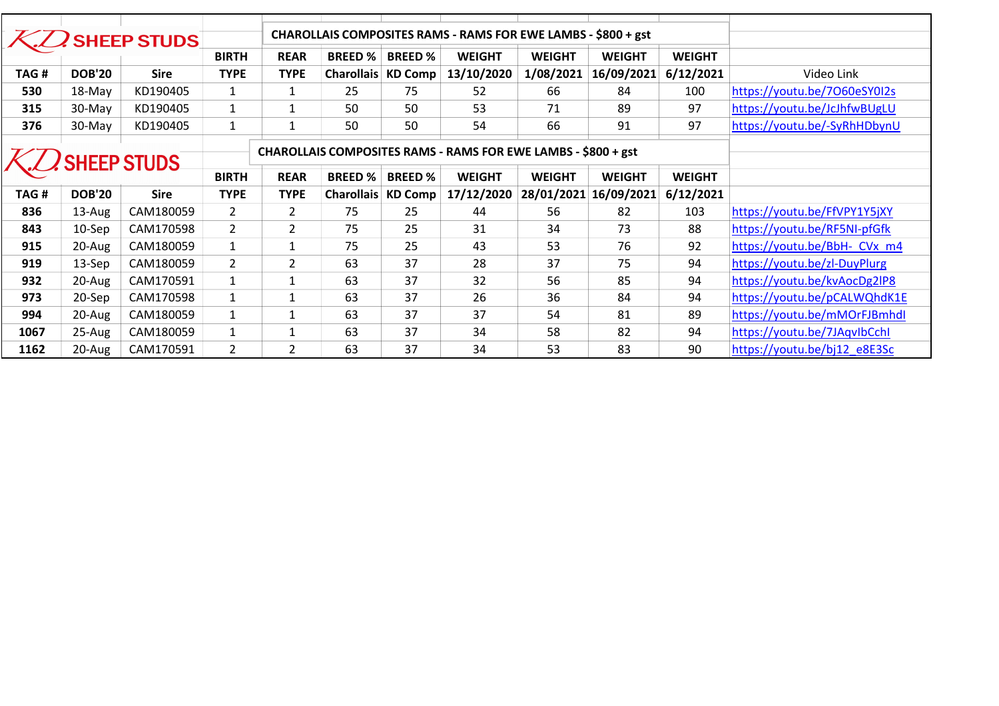| CHAROLLAIS COMPOSITES RAMS - RAMS FOR EWE LAMBS - \$800 + gst<br><b>SHEEP STUDS</b><br><b>REAR</b><br><b>BREED % BREED %</b><br><b>WEIGHT</b><br><b>BIRTH</b><br><b>WEIGHT</b><br><b>WEIGHT</b><br><b>WEIGHT</b><br>13/10/2020<br>1/08/2021 16/09/2021<br>6/12/2021<br>TAG#<br><b>DOB'20</b><br><b>Sire</b><br><b>TYPE</b><br><b>Charollais KD Comp</b><br>Video Link<br><b>TYPE</b><br>KD190405<br>25<br>530<br>$\mathbf{1}$<br>75<br>66<br>84<br>100<br>18-May<br>$\mathbf{1}$<br>52<br>KD190405<br>$\mathbf{1}$<br>50<br>50<br>89<br>97<br>315<br>30-May<br>$\mathbf{1}$<br>53<br>71<br>376<br>KD190405<br>$\mathbf{1}$<br>50<br>50<br>54<br>66<br>91<br>97<br>30-May<br>$\mathbf{1}$<br>CHAROLLAIS COMPOSITES RAMS - RAMS FOR EWE LAMBS - \$800 + gst<br><b>SHEEP STUDS</b><br><b>BIRTH</b><br><b>REAR</b><br><b>BREED%</b><br><b>BREED%</b><br><b>WEIGHT</b><br><b>WEIGHT</b><br><b>WEIGHT</b><br><b>WEIGHT</b><br><b>DOB'20</b><br>TAG#<br><b>Sire</b><br><b>TYPE</b><br><b>Charollais KD Comp</b><br>17/12/2020<br>28/01/2021 16/09/2021<br>6/12/2021<br><b>TYPE</b><br>75<br>https://youtu.be/FfVPY1Y5jXY<br>836<br>13-Aug<br>CAM180059<br>$\overline{2}$<br>$\overline{2}$<br>25<br>56<br>82<br>103<br>44<br>$\overline{2}$<br>https://youtu.be/RF5NI-pfGfk<br>843<br>10-Sep<br>CAM170598<br>$\overline{2}$<br>75<br>25<br>73<br>88<br>31<br>34<br>915<br>CAM180059<br>25<br>53<br>76<br>92<br>20-Aug<br>$\mathbf{1}$<br>$\mathbf{1}$<br>75<br>43<br>$\overline{2}$<br>$\overline{2}$<br>37<br>37<br>75<br>94<br>919<br>63<br>28<br>https://youtu.be/zl-DuyPlurg<br>13-Sep<br>CAM180059<br>37<br>932<br>20-Aug<br>CAM170591<br>$\mathbf{1}$<br>63<br>32<br>56<br>85<br>94<br>$\mathbf{1}$<br>37<br>$\mathbf{1}$<br>63<br>26<br>36<br>84<br>94<br>973<br>20-Sep<br>CAM170598<br>$\mathbf{1}$<br>994<br>CAM180059<br>$\mathbf{1}$<br>63<br>37<br>37<br>54<br>81<br>89<br>20-Aug<br>$\mathbf{1}$<br>37<br>34<br>94<br>https://youtu.be/7JAqvIbCchI<br>1067<br>25-Aug<br>CAM180059<br>63<br>58<br>82<br>$\mathbf{1}$<br>$\mathbf{1}$<br>63<br>37<br>34<br>90<br>$\overline{2}$<br>$\overline{2}$<br>53<br>83<br>https://youtu.be/bj12_e8E3Sc<br>1162<br>20-Aug<br>CAM170591 |  |  |  |  |  |  |  |                              |
|----------------------------------------------------------------------------------------------------------------------------------------------------------------------------------------------------------------------------------------------------------------------------------------------------------------------------------------------------------------------------------------------------------------------------------------------------------------------------------------------------------------------------------------------------------------------------------------------------------------------------------------------------------------------------------------------------------------------------------------------------------------------------------------------------------------------------------------------------------------------------------------------------------------------------------------------------------------------------------------------------------------------------------------------------------------------------------------------------------------------------------------------------------------------------------------------------------------------------------------------------------------------------------------------------------------------------------------------------------------------------------------------------------------------------------------------------------------------------------------------------------------------------------------------------------------------------------------------------------------------------------------------------------------------------------------------------------------------------------------------------------------------------------------------------------------------------------------------------------------------------------------------------------------------------------------------------------------------------------------------------------------------------------------------------------------------------------------------------------------------------------------------------------------------------------|--|--|--|--|--|--|--|------------------------------|
|                                                                                                                                                                                                                                                                                                                                                                                                                                                                                                                                                                                                                                                                                                                                                                                                                                                                                                                                                                                                                                                                                                                                                                                                                                                                                                                                                                                                                                                                                                                                                                                                                                                                                                                                                                                                                                                                                                                                                                                                                                                                                                                                                                                  |  |  |  |  |  |  |  |                              |
|                                                                                                                                                                                                                                                                                                                                                                                                                                                                                                                                                                                                                                                                                                                                                                                                                                                                                                                                                                                                                                                                                                                                                                                                                                                                                                                                                                                                                                                                                                                                                                                                                                                                                                                                                                                                                                                                                                                                                                                                                                                                                                                                                                                  |  |  |  |  |  |  |  |                              |
|                                                                                                                                                                                                                                                                                                                                                                                                                                                                                                                                                                                                                                                                                                                                                                                                                                                                                                                                                                                                                                                                                                                                                                                                                                                                                                                                                                                                                                                                                                                                                                                                                                                                                                                                                                                                                                                                                                                                                                                                                                                                                                                                                                                  |  |  |  |  |  |  |  |                              |
|                                                                                                                                                                                                                                                                                                                                                                                                                                                                                                                                                                                                                                                                                                                                                                                                                                                                                                                                                                                                                                                                                                                                                                                                                                                                                                                                                                                                                                                                                                                                                                                                                                                                                                                                                                                                                                                                                                                                                                                                                                                                                                                                                                                  |  |  |  |  |  |  |  |                              |
|                                                                                                                                                                                                                                                                                                                                                                                                                                                                                                                                                                                                                                                                                                                                                                                                                                                                                                                                                                                                                                                                                                                                                                                                                                                                                                                                                                                                                                                                                                                                                                                                                                                                                                                                                                                                                                                                                                                                                                                                                                                                                                                                                                                  |  |  |  |  |  |  |  |                              |
|                                                                                                                                                                                                                                                                                                                                                                                                                                                                                                                                                                                                                                                                                                                                                                                                                                                                                                                                                                                                                                                                                                                                                                                                                                                                                                                                                                                                                                                                                                                                                                                                                                                                                                                                                                                                                                                                                                                                                                                                                                                                                                                                                                                  |  |  |  |  |  |  |  |                              |
|                                                                                                                                                                                                                                                                                                                                                                                                                                                                                                                                                                                                                                                                                                                                                                                                                                                                                                                                                                                                                                                                                                                                                                                                                                                                                                                                                                                                                                                                                                                                                                                                                                                                                                                                                                                                                                                                                                                                                                                                                                                                                                                                                                                  |  |  |  |  |  |  |  |                              |
|                                                                                                                                                                                                                                                                                                                                                                                                                                                                                                                                                                                                                                                                                                                                                                                                                                                                                                                                                                                                                                                                                                                                                                                                                                                                                                                                                                                                                                                                                                                                                                                                                                                                                                                                                                                                                                                                                                                                                                                                                                                                                                                                                                                  |  |  |  |  |  |  |  |                              |
|                                                                                                                                                                                                                                                                                                                                                                                                                                                                                                                                                                                                                                                                                                                                                                                                                                                                                                                                                                                                                                                                                                                                                                                                                                                                                                                                                                                                                                                                                                                                                                                                                                                                                                                                                                                                                                                                                                                                                                                                                                                                                                                                                                                  |  |  |  |  |  |  |  |                              |
|                                                                                                                                                                                                                                                                                                                                                                                                                                                                                                                                                                                                                                                                                                                                                                                                                                                                                                                                                                                                                                                                                                                                                                                                                                                                                                                                                                                                                                                                                                                                                                                                                                                                                                                                                                                                                                                                                                                                                                                                                                                                                                                                                                                  |  |  |  |  |  |  |  |                              |
|                                                                                                                                                                                                                                                                                                                                                                                                                                                                                                                                                                                                                                                                                                                                                                                                                                                                                                                                                                                                                                                                                                                                                                                                                                                                                                                                                                                                                                                                                                                                                                                                                                                                                                                                                                                                                                                                                                                                                                                                                                                                                                                                                                                  |  |  |  |  |  |  |  |                              |
|                                                                                                                                                                                                                                                                                                                                                                                                                                                                                                                                                                                                                                                                                                                                                                                                                                                                                                                                                                                                                                                                                                                                                                                                                                                                                                                                                                                                                                                                                                                                                                                                                                                                                                                                                                                                                                                                                                                                                                                                                                                                                                                                                                                  |  |  |  |  |  |  |  |                              |
|                                                                                                                                                                                                                                                                                                                                                                                                                                                                                                                                                                                                                                                                                                                                                                                                                                                                                                                                                                                                                                                                                                                                                                                                                                                                                                                                                                                                                                                                                                                                                                                                                                                                                                                                                                                                                                                                                                                                                                                                                                                                                                                                                                                  |  |  |  |  |  |  |  |                              |
|                                                                                                                                                                                                                                                                                                                                                                                                                                                                                                                                                                                                                                                                                                                                                                                                                                                                                                                                                                                                                                                                                                                                                                                                                                                                                                                                                                                                                                                                                                                                                                                                                                                                                                                                                                                                                                                                                                                                                                                                                                                                                                                                                                                  |  |  |  |  |  |  |  |                              |
|                                                                                                                                                                                                                                                                                                                                                                                                                                                                                                                                                                                                                                                                                                                                                                                                                                                                                                                                                                                                                                                                                                                                                                                                                                                                                                                                                                                                                                                                                                                                                                                                                                                                                                                                                                                                                                                                                                                                                                                                                                                                                                                                                                                  |  |  |  |  |  |  |  |                              |
|                                                                                                                                                                                                                                                                                                                                                                                                                                                                                                                                                                                                                                                                                                                                                                                                                                                                                                                                                                                                                                                                                                                                                                                                                                                                                                                                                                                                                                                                                                                                                                                                                                                                                                                                                                                                                                                                                                                                                                                                                                                                                                                                                                                  |  |  |  |  |  |  |  |                              |
|                                                                                                                                                                                                                                                                                                                                                                                                                                                                                                                                                                                                                                                                                                                                                                                                                                                                                                                                                                                                                                                                                                                                                                                                                                                                                                                                                                                                                                                                                                                                                                                                                                                                                                                                                                                                                                                                                                                                                                                                                                                                                                                                                                                  |  |  |  |  |  |  |  |                              |
|                                                                                                                                                                                                                                                                                                                                                                                                                                                                                                                                                                                                                                                                                                                                                                                                                                                                                                                                                                                                                                                                                                                                                                                                                                                                                                                                                                                                                                                                                                                                                                                                                                                                                                                                                                                                                                                                                                                                                                                                                                                                                                                                                                                  |  |  |  |  |  |  |  | https://youtu.be/7060eSY0I2s |
|                                                                                                                                                                                                                                                                                                                                                                                                                                                                                                                                                                                                                                                                                                                                                                                                                                                                                                                                                                                                                                                                                                                                                                                                                                                                                                                                                                                                                                                                                                                                                                                                                                                                                                                                                                                                                                                                                                                                                                                                                                                                                                                                                                                  |  |  |  |  |  |  |  | https://youtu.be/JcJhfwBUgLU |
|                                                                                                                                                                                                                                                                                                                                                                                                                                                                                                                                                                                                                                                                                                                                                                                                                                                                                                                                                                                                                                                                                                                                                                                                                                                                                                                                                                                                                                                                                                                                                                                                                                                                                                                                                                                                                                                                                                                                                                                                                                                                                                                                                                                  |  |  |  |  |  |  |  | https://youtu.be/-SyRhHDbynU |
|                                                                                                                                                                                                                                                                                                                                                                                                                                                                                                                                                                                                                                                                                                                                                                                                                                                                                                                                                                                                                                                                                                                                                                                                                                                                                                                                                                                                                                                                                                                                                                                                                                                                                                                                                                                                                                                                                                                                                                                                                                                                                                                                                                                  |  |  |  |  |  |  |  |                              |
|                                                                                                                                                                                                                                                                                                                                                                                                                                                                                                                                                                                                                                                                                                                                                                                                                                                                                                                                                                                                                                                                                                                                                                                                                                                                                                                                                                                                                                                                                                                                                                                                                                                                                                                                                                                                                                                                                                                                                                                                                                                                                                                                                                                  |  |  |  |  |  |  |  |                              |
|                                                                                                                                                                                                                                                                                                                                                                                                                                                                                                                                                                                                                                                                                                                                                                                                                                                                                                                                                                                                                                                                                                                                                                                                                                                                                                                                                                                                                                                                                                                                                                                                                                                                                                                                                                                                                                                                                                                                                                                                                                                                                                                                                                                  |  |  |  |  |  |  |  |                              |
|                                                                                                                                                                                                                                                                                                                                                                                                                                                                                                                                                                                                                                                                                                                                                                                                                                                                                                                                                                                                                                                                                                                                                                                                                                                                                                                                                                                                                                                                                                                                                                                                                                                                                                                                                                                                                                                                                                                                                                                                                                                                                                                                                                                  |  |  |  |  |  |  |  |                              |
|                                                                                                                                                                                                                                                                                                                                                                                                                                                                                                                                                                                                                                                                                                                                                                                                                                                                                                                                                                                                                                                                                                                                                                                                                                                                                                                                                                                                                                                                                                                                                                                                                                                                                                                                                                                                                                                                                                                                                                                                                                                                                                                                                                                  |  |  |  |  |  |  |  |                              |
|                                                                                                                                                                                                                                                                                                                                                                                                                                                                                                                                                                                                                                                                                                                                                                                                                                                                                                                                                                                                                                                                                                                                                                                                                                                                                                                                                                                                                                                                                                                                                                                                                                                                                                                                                                                                                                                                                                                                                                                                                                                                                                                                                                                  |  |  |  |  |  |  |  |                              |
|                                                                                                                                                                                                                                                                                                                                                                                                                                                                                                                                                                                                                                                                                                                                                                                                                                                                                                                                                                                                                                                                                                                                                                                                                                                                                                                                                                                                                                                                                                                                                                                                                                                                                                                                                                                                                                                                                                                                                                                                                                                                                                                                                                                  |  |  |  |  |  |  |  | https://youtu.be/BbH- CVx m4 |
|                                                                                                                                                                                                                                                                                                                                                                                                                                                                                                                                                                                                                                                                                                                                                                                                                                                                                                                                                                                                                                                                                                                                                                                                                                                                                                                                                                                                                                                                                                                                                                                                                                                                                                                                                                                                                                                                                                                                                                                                                                                                                                                                                                                  |  |  |  |  |  |  |  | https://youtu.be/kvAocDg2lP8 |
|                                                                                                                                                                                                                                                                                                                                                                                                                                                                                                                                                                                                                                                                                                                                                                                                                                                                                                                                                                                                                                                                                                                                                                                                                                                                                                                                                                                                                                                                                                                                                                                                                                                                                                                                                                                                                                                                                                                                                                                                                                                                                                                                                                                  |  |  |  |  |  |  |  | https://youtu.be/pCALWQhdK1E |
|                                                                                                                                                                                                                                                                                                                                                                                                                                                                                                                                                                                                                                                                                                                                                                                                                                                                                                                                                                                                                                                                                                                                                                                                                                                                                                                                                                                                                                                                                                                                                                                                                                                                                                                                                                                                                                                                                                                                                                                                                                                                                                                                                                                  |  |  |  |  |  |  |  | https://youtu.be/mMOrFJBmhdl |
|                                                                                                                                                                                                                                                                                                                                                                                                                                                                                                                                                                                                                                                                                                                                                                                                                                                                                                                                                                                                                                                                                                                                                                                                                                                                                                                                                                                                                                                                                                                                                                                                                                                                                                                                                                                                                                                                                                                                                                                                                                                                                                                                                                                  |  |  |  |  |  |  |  |                              |